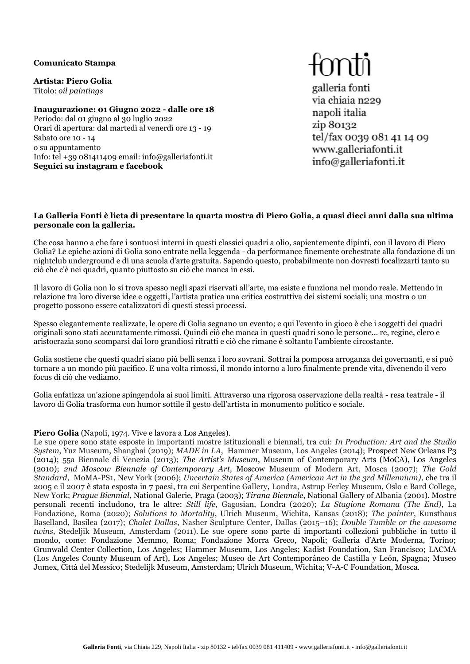#### **Comunicato Stampa**

**Artista: Piero Golia** Titolo: *oil paintings*

**Inaugurazione: 01 Giugno 2022 - dalle ore 18** Periodo: dal 01 giugno al 30 luglio 2022 Orari di apertura: dal martedì al venerdì ore 13 - 19 Sabato ore 10 - 14 o su appuntamento Info: tel +39 081411409 email: [info@galleriafonti.it](mailto:info@galleriafonti.it) **Seguici su instagram e facebook**

# fonti

galleria fonti via chiaia n229 napoli italia zip 80132 tel/fax 0039 081 41 14 09 www.galleriafonti.it info@galleriafonti.it

#### **La Galleria Fonti è lieta di presentare la quarta mostra di Piero Golia, a quasi dieci anni dalla sua ultima personale con la galleria.**

Che cosa hanno a che fare i sontuosi interni in questi classici quadri a olio, sapientemente dipinti, con il lavoro di Piero Golia? Le epiche azioni di Golia sono entrate nella leggenda - da performance finemente orchestrate alla fondazione di un nightclub underground e di una scuola d'arte gratuita. Sapendo questo, probabilmente non dovresti focalizzarti tanto su ciò che c'è nei quadri, quanto piuttosto su ciò che manca in essi.

Il lavoro di Golia non lo si trova spesso negli spazi riservati all'arte, ma esiste e funziona nel mondo reale. Mettendo in relazione tra loro diverse idee e oggetti, l'artista pratica una critica costruttiva dei sistemi sociali; una mostra o un progetto possono essere catalizzatori di questi stessi processi.

Spesso elegantemente realizzate, le opere di Golia segnano un evento; e qui l'evento in gioco è che i soggetti dei quadri originali sono stati accuratamente rimossi. Quindi ciò che manca in questi quadri sono le persone... re, regine, clero e aristocrazia sono scomparsi dai loro grandiosi ritratti e ciò che rimane è soltanto l'ambiente circostante.

Golia sostiene che questi quadri siano più belli senza i loro sovrani. Sottrai la pomposa arroganza dei governanti, e si può tornare a un mondo più pacifico. E una volta rimossi, il mondo intorno a loro finalmente prende vita, divenendo il vero focus di ciò che vediamo.

Golia enfatizza un'azione spingendola ai suoi limiti. Attraverso una rigorosa osservazione della realtà - resa teatrale - il lavoro di Golia trasforma con humor sottile il gesto dell'artista in monumento politico e sociale.

## **Piero Golia** (Napoli, 1974. Vive e lavora a Los Angeles).

Le sue opere sono state esposte in importanti mostre istituzionali e biennali, tra cui: *In Production: Art and the Studio System*, Yuz Museum, Shanghai (2019); *MADE in LA*, Hammer Museum, Los Angeles (2014); Prospect New Orleans P3 (2014); 55a Biennale di Venezia (2013); *The Artist's Museum*, Museum of Contemporary Arts (MoCA), Los Angeles (2010); *2nd Moscow Biennale of Contemporary Art,* Moscow Museum of Modern Art, Mosca (2007); *The Gold Standard*, MoMA-PS1, New York (2006); *Uncertain States of America (American Art in the 3rd Millennium)*, che tra il 2005 e il 2007 è stata esposta in 7 paesi, tra cui Serpentine Gallery, Londra, Astrup Ferley Museum, Oslo e Bard College, New York; *Prague Biennial*, National Galerie, Praga (2003); *Tirana Biennale*, National Gallery of Albania (2001). Mostre personali recenti includono, tra le altre: *Still life*, Gagosian, Londra (2020); *La Stagione Romana (The End)*, La Fondazione, Roma (2020); *Solutions to Mortality*, Ulrich Museum, Wichita, Kansas (2018); *The painter*, Kunsthaus Baselland, Basilea (2017); *Chalet Dallas*, Nasher Sculpture Center, Dallas (2015–16); *Double Tumble or the awesome twins,* Stedeljik Museum, Amsterdam (2011)*.* Le sue opere sono parte di importanti collezioni pubbliche in tutto il mondo, come: Fondazione Memmo, Roma; Fondazione Morra Greco, Napoli; Galleria d'Arte Moderna, Torino; Grunwald Center Collection, Los Angeles; Hammer Museum, Los Angeles; Kadist Foundation, San Francisco; LACMA (Los Angeles County Museum of Art), Los Angeles; Museo de Art Contemporáneo de Castilla y León, Spagna; Museo Jumex, Città del Messico; Stedelijk Museum, Amsterdam; Ulrich Museum, Wichita; V-A-C Foundation, Mosca.